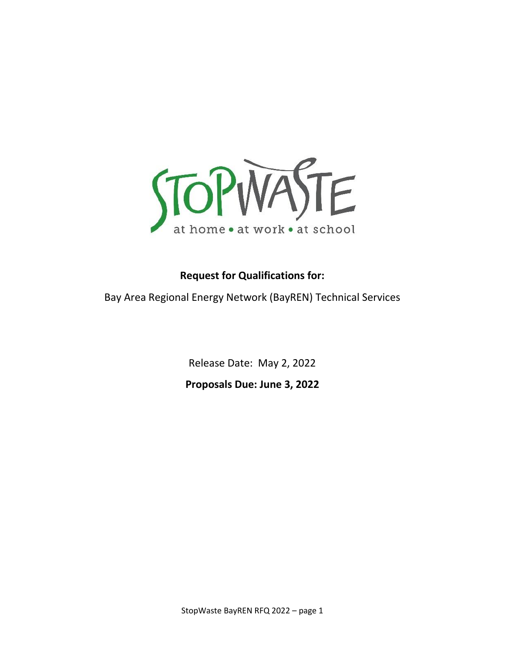

# **Request for Qualifications for:**

Bay Area Regional Energy Network (BayREN) Technical Services

Release Date: May 2, 2022 **Proposals Due: June 3, 2022**

StopWaste BayREN RFQ 2022 – page 1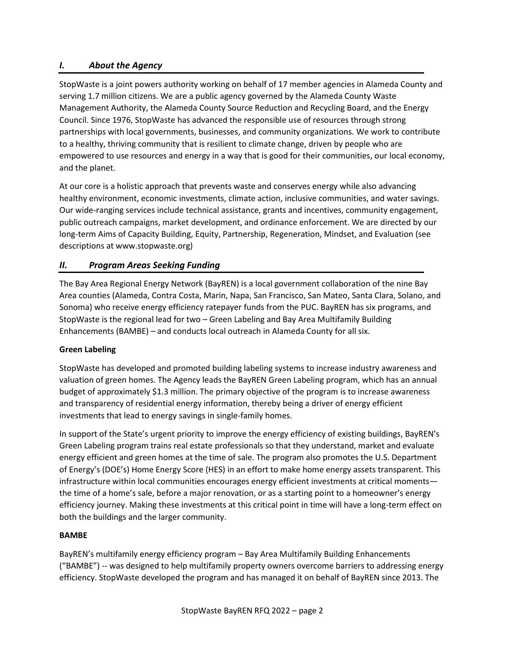# *I. About the Agency*

StopWaste is a joint powers authority working on behalf of 17 member agencies in Alameda County and serving 1.7 million citizens. We are a public agency governed by the Alameda County Waste Management Authority, the Alameda County Source Reduction and Recycling Board, and the Energy Council. Since 1976, StopWaste has advanced the responsible use of resources through strong partnerships with local governments, businesses, and community organizations. We work to contribute to a healthy, thriving community that is resilient to climate change, driven by people who are empowered to use resources and energy in a way that is good for their communities, our local economy, and the planet.

At our core is a holistic approach that prevents waste and conserves energy while also advancing healthy environment, economic investments, climate action, inclusive communities, and water savings. Our wide-ranging services include technical assistance, grants and incentives, community engagement, public outreach campaigns, market development, and ordinance enforcement. We are directed by our long-term Aims of Capacity Building, Equity, Partnership, Regeneration, Mindset, and Evaluation (see descriptions at www.stopwaste.org)

# *II. Program Areas Seeking Funding*

The Bay Area Regional Energy Network (BayREN) is a local government collaboration of the nine Bay Area counties (Alameda, Contra Costa, Marin, Napa, San Francisco, San Mateo, Santa Clara, Solano, and Sonoma) who receive energy efficiency ratepayer funds from the PUC. BayREN has six programs, and StopWaste is the regional lead for two – Green Labeling and Bay Area Multifamily Building Enhancements (BAMBE) – and conducts local outreach in Alameda County for all six.

## **Green Labeling**

StopWaste has developed and promoted building labeling systems to increase industry awareness and valuation of green homes. The Agency leads the BayREN Green Labeling program, which has an annual budget of approximately \$1.3 million. The primary objective of the program is to increase awareness and transparency of residential energy information, thereby being a driver of energy efficient investments that lead to energy savings in single-family homes.

In support of the State's urgent priority to improve the energy efficiency of existing buildings, BayREN's Green Labeling program trains real estate professionals so that they understand, market and evaluate energy efficient and green homes at the time of sale. The program also promotes the U.S. Department of Energy's (DOE's) Home Energy Score (HES) in an effort to make home energy assets transparent. This infrastructure within local communities encourages energy efficient investments at critical moments the time of a home's sale, before a major renovation, or as a starting point to a homeowner's energy efficiency journey. Making these investments at this critical point in time will have a long-term effect on both the buildings and the larger community.

#### **BAMBE**

BayREN's multifamily energy efficiency program – Bay Area Multifamily Building Enhancements ("BAMBE") -- was designed to help multifamily property owners overcome barriers to addressing energy efficiency. StopWaste developed the program and has managed it on behalf of BayREN since 2013. The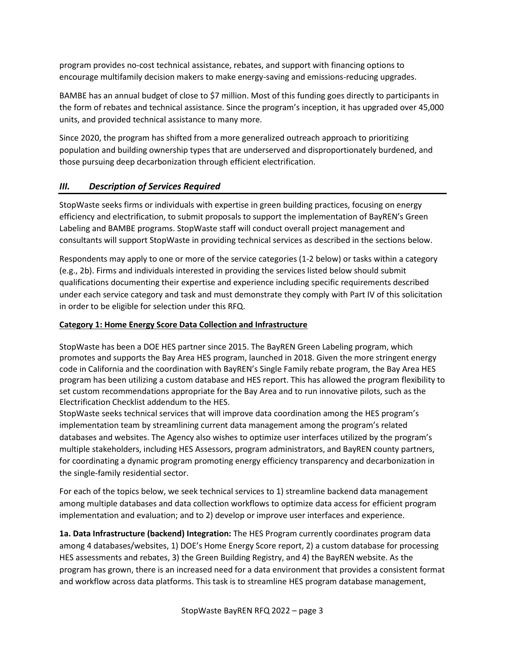program provides no-cost technical assistance, rebates, and support with financing options to encourage multifamily decision makers to make energy-saving and emissions-reducing upgrades.

BAMBE has an annual budget of close to \$7 million. Most of this funding goes directly to participants in the form of rebates and technical assistance. Since the program's inception, it has upgraded over 45,000 units, and provided technical assistance to many more.

Since 2020, the program has shifted from a more generalized outreach approach to prioritizing population and building ownership types that are underserved and disproportionately burdened, and those pursuing deep decarbonization through efficient electrification.

# *III. Description of Services Required*

StopWaste seeks firms or individuals with expertise in green building practices, focusing on energy efficiency and electrification, to submit proposals to support the implementation of BayREN's Green Labeling and BAMBE programs. StopWaste staff will conduct overall project management and consultants will support StopWaste in providing technical services as described in the sections below.

Respondents may apply to one or more of the service categories (1-2 below) or tasks within a category (e.g., 2b). Firms and individuals interested in providing the services listed below should submit qualifications documenting their expertise and experience including specific requirements described under each service category and task and must demonstrate they comply with Part IV of this solicitation in order to be eligible for selection under this RFQ.

# **Category 1: Home Energy Score Data Collection and Infrastructure**

StopWaste has been a DOE HES partner since 2015. The BayREN Green Labeling program, which promotes and supports the Bay Area HES program, launched in 2018. Given the more stringent energy code in California and the coordination with BayREN's Single Family rebate program, the Bay Area HES program has been utilizing a custom database and HES report. This has allowed the program flexibility to set custom recommendations appropriate for the Bay Area and to run innovative pilots, such as the Electrification Checklist addendum to the HES.

StopWaste seeks technical services that will improve data coordination among the HES program's implementation team by streamlining current data management among the program's related databases and websites. The Agency also wishes to optimize user interfaces utilized by the program's multiple stakeholders, including HES Assessors, program administrators, and BayREN county partners, for coordinating a dynamic program promoting energy efficiency transparency and decarbonization in the single-family residential sector.

For each of the topics below, we seek technical services to 1) streamline backend data management among multiple databases and data collection workflows to optimize data access for efficient program implementation and evaluation; and to 2) develop or improve user interfaces and experience.

**1a. Data Infrastructure (backend) Integration:** The HES Program currently coordinates program data among 4 databases/websites, 1) DOE's Home Energy Score report, 2) a custom database for processing HES assessments and rebates, 3) the Green Building Registry, and 4) the BayREN website. As the program has grown, there is an increased need for a data environment that provides a consistent format and workflow across data platforms. This task is to streamline HES program database management,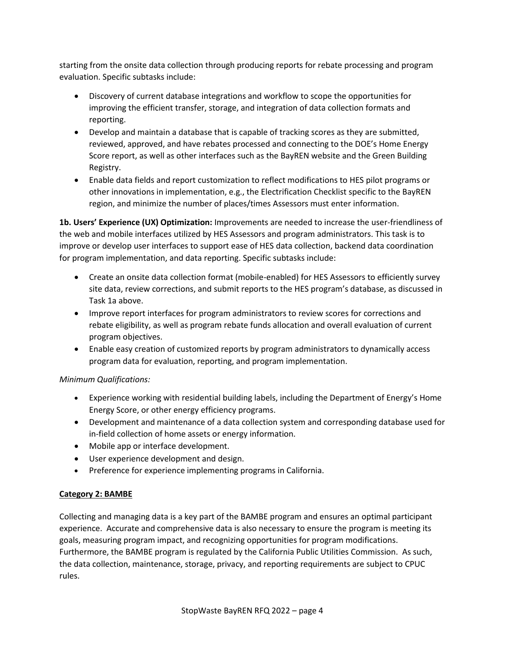starting from the onsite data collection through producing reports for rebate processing and program evaluation. Specific subtasks include:

- Discovery of current database integrations and workflow to scope the opportunities for improving the efficient transfer, storage, and integration of data collection formats and reporting.
- Develop and maintain a database that is capable of tracking scores as they are submitted, reviewed, approved, and have rebates processed and connecting to the DOE's Home Energy Score report, as well as other interfaces such as the BayREN website and the Green Building Registry.
- Enable data fields and report customization to reflect modifications to HES pilot programs or other innovations in implementation, e.g., the Electrification Checklist specific to the BayREN region, and minimize the number of places/times Assessors must enter information.

**1b. Users' Experience (UX) Optimization:** Improvements are needed to increase the user-friendliness of the web and mobile interfaces utilized by HES Assessors and program administrators. This task is to improve or develop user interfaces to support ease of HES data collection, backend data coordination for program implementation, and data reporting. Specific subtasks include:

- Create an onsite data collection format (mobile-enabled) for HES Assessors to efficiently survey site data, review corrections, and submit reports to the HES program's database, as discussed in Task 1a above.
- Improve report interfaces for program administrators to review scores for corrections and rebate eligibility, as well as program rebate funds allocation and overall evaluation of current program objectives.
- Enable easy creation of customized reports by program administrators to dynamically access program data for evaluation, reporting, and program implementation.

## *Minimum Qualifications:*

- Experience working with residential building labels, including the Department of Energy's Home Energy Score, or other energy efficiency programs.
- Development and maintenance of a data collection system and corresponding database used for in-field collection of home assets or energy information.
- Mobile app or interface development.
- User experience development and design.
- Preference for experience implementing programs in California.

## **Category 2: BAMBE**

Collecting and managing data is a key part of the BAMBE program and ensures an optimal participant experience. Accurate and comprehensive data is also necessary to ensure the program is meeting its goals, measuring program impact, and recognizing opportunities for program modifications. Furthermore, the BAMBE program is regulated by the California Public Utilities Commission. As such, the data collection, maintenance, storage, privacy, and reporting requirements are subject to CPUC rules.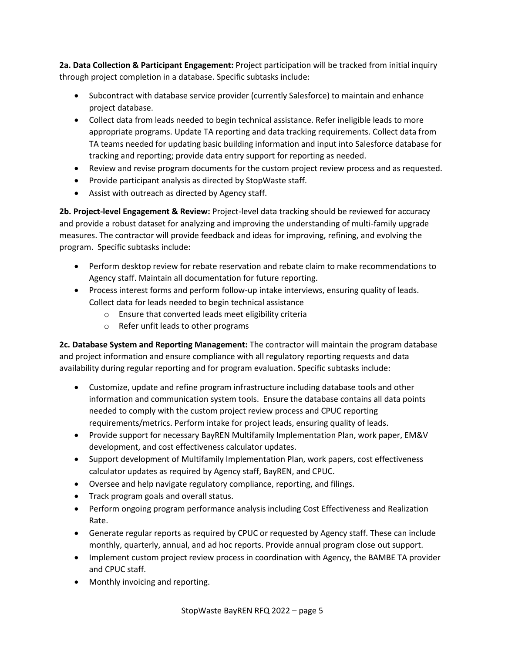**2a. Data Collection & Participant Engagement:** Project participation will be tracked from initial inquiry through project completion in a database. Specific subtasks include:

- Subcontract with database service provider (currently Salesforce) to maintain and enhance project database.
- Collect data from leads needed to begin technical assistance. Refer ineligible leads to more appropriate programs. Update TA reporting and data tracking requirements. Collect data from TA teams needed for updating basic building information and input into Salesforce database for tracking and reporting; provide data entry support for reporting as needed.
- Review and revise program documents for the custom project review process and as requested.
- Provide participant analysis as directed by StopWaste staff.
- Assist with outreach as directed by Agency staff.

**2b. Project-level Engagement & Review:** Project-level data tracking should be reviewed for accuracy and provide a robust dataset for analyzing and improving the understanding of multi-family upgrade measures. The contractor will provide feedback and ideas for improving, refining, and evolving the program. Specific subtasks include:

- Perform desktop review for rebate reservation and rebate claim to make recommendations to Agency staff. Maintain all documentation for future reporting.
- Process interest forms and perform follow-up intake interviews, ensuring quality of leads. Collect data for leads needed to begin technical assistance
	- o Ensure that converted leads meet eligibility criteria
	- o Refer unfit leads to other programs

**2c. Database System and Reporting Management:** The contractor will maintain the program database and project information and ensure compliance with all regulatory reporting requests and data availability during regular reporting and for program evaluation. Specific subtasks include:

- Customize, update and refine program infrastructure including database tools and other information and communication system tools. Ensure the database contains all data points needed to comply with the custom project review process and CPUC reporting requirements/metrics. Perform intake for project leads, ensuring quality of leads.
- Provide support for necessary BayREN Multifamily Implementation Plan, work paper, EM&V development, and cost effectiveness calculator updates.
- Support development of Multifamily Implementation Plan, work papers, cost effectiveness calculator updates as required by Agency staff, BayREN, and CPUC.
- Oversee and help navigate regulatory compliance, reporting, and filings.
- Track program goals and overall status.
- Perform ongoing program performance analysis including Cost Effectiveness and Realization Rate.
- Generate regular reports as required by CPUC or requested by Agency staff. These can include monthly, quarterly, annual, and ad hoc reports. Provide annual program close out support.
- Implement custom project review process in coordination with Agency, the BAMBE TA provider and CPUC staff.
- Monthly invoicing and reporting.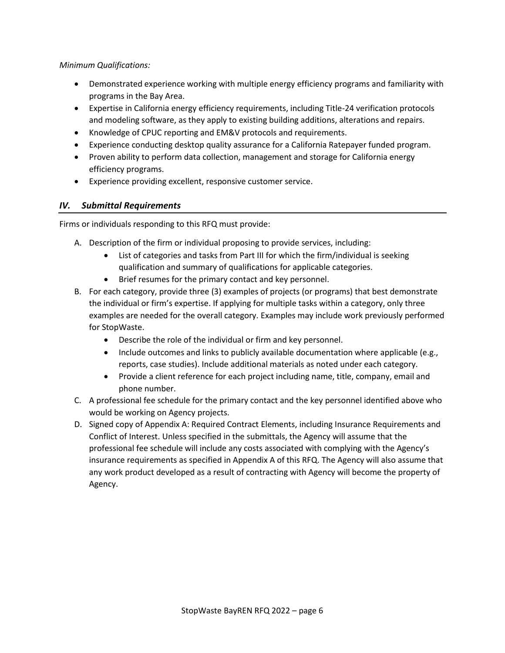#### *Minimum Qualifications:*

- Demonstrated experience working with multiple energy efficiency programs and familiarity with programs in the Bay Area.
- Expertise in California energy efficiency requirements, including Title-24 verification protocols and modeling software, as they apply to existing building additions, alterations and repairs.
- Knowledge of CPUC reporting and EM&V protocols and requirements.
- Experience conducting desktop quality assurance for a California Ratepayer funded program.
- Proven ability to perform data collection, management and storage for California energy efficiency programs.
- Experience providing excellent, responsive customer service.

# *IV. Submittal Requirements*

Firms or individuals responding to this RFQ must provide:

- A. Description of the firm or individual proposing to provide services, including:
	- List of categories and tasks from Part III for which the firm/individual is seeking qualification and summary of qualifications for applicable categories.
	- Brief resumes for the primary contact and key personnel.
- B. For each category, provide three (3) examples of projects (or programs) that best demonstrate the individual or firm's expertise. If applying for multiple tasks within a category, only three examples are needed for the overall category. Examples may include work previously performed for StopWaste.
	- Describe the role of the individual or firm and key personnel.
	- Include outcomes and links to publicly available documentation where applicable (e.g., reports, case studies). Include additional materials as noted under each category.
	- Provide a client reference for each project including name, title, company, email and phone number.
- C. A professional fee schedule for the primary contact and the key personnel identified above who would be working on Agency projects.
- D. Signed copy of Appendix A: Required Contract Elements, including Insurance Requirements and Conflict of Interest. Unless specified in the submittals, the Agency will assume that the professional fee schedule will include any costs associated with complying with the Agency's insurance requirements as specified in Appendix A of this RFQ. The Agency will also assume that any work product developed as a result of contracting with Agency will become the property of Agency.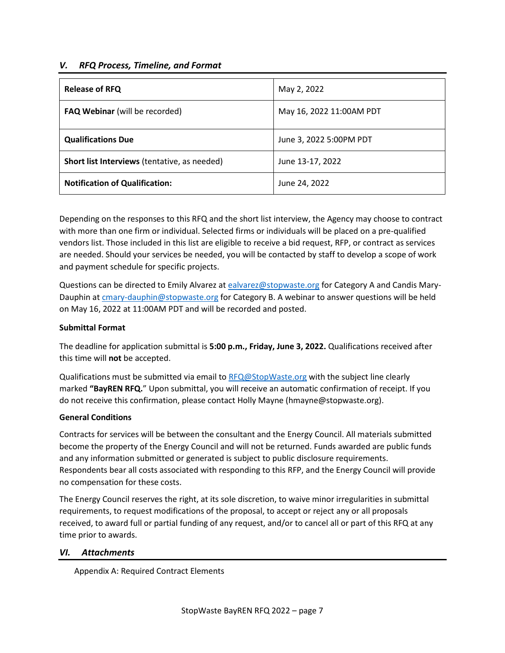# *V. RFQ Process, Timeline, and Format*

| <b>Release of RFQ</b>                        | May 2, 2022              |
|----------------------------------------------|--------------------------|
| <b>FAQ Webinar</b> (will be recorded)        | May 16, 2022 11:00AM PDT |
| <b>Qualifications Due</b>                    | June 3, 2022 5:00PM PDT  |
| Short list Interviews (tentative, as needed) | June 13-17, 2022         |
| <b>Notification of Qualification:</b>        | June 24, 2022            |

Depending on the responses to this RFQ and the short list interview, the Agency may choose to contract with more than one firm or individual. Selected firms or individuals will be placed on a pre-qualified vendors list. Those included in this list are eligible to receive a bid request, RFP, or contract as services are needed. Should your services be needed, you will be contacted by staff to develop a scope of work and payment schedule for specific projects.

Questions can be directed to Emily Alvarez a[t ealvarez@stopwaste.org](mailto:ealvarez@stopwaste.org) for Category A and Candis Mary-Dauphin a[t cmary-dauphin@stopwaste.org](mailto:cmary-dauphin@stopwaste.org) for Category B. A webinar to answer questions will be held on May 16, 2022 at 11:00AM PDT and will be recorded and posted.

#### **Submittal Format**

The deadline for application submittal is **5:00 p.m., Friday, June 3, 2022.** Qualifications received after this time will **not** be accepted.

Qualifications must be submitted via email to [RFQ@StopWaste.org](mailto:RFQ@StopWaste.Org) with the subject line clearly marked **"BayREN RFQ.**" Upon submittal, you will receive an automatic confirmation of receipt. If you do not receive this confirmation, please contact Holly Mayne (hmayne@stopwaste.org).

## **General Conditions**

Contracts for services will be between the consultant and the Energy Council. All materials submitted become the property of the Energy Council and will not be returned. Funds awarded are public funds and any information submitted or generated is subject to public disclosure requirements. Respondents bear all costs associated with responding to this RFP, and the Energy Council will provide no compensation for these costs.

The Energy Council reserves the right, at its sole discretion, to waive minor irregularities in submittal requirements, to request modifications of the proposal, to accept or reject any or all proposals received, to award full or partial funding of any request, and/or to cancel all or part of this RFQ at any time prior to awards.

## *VI. Attachments*

Appendix A: Required Contract Elements